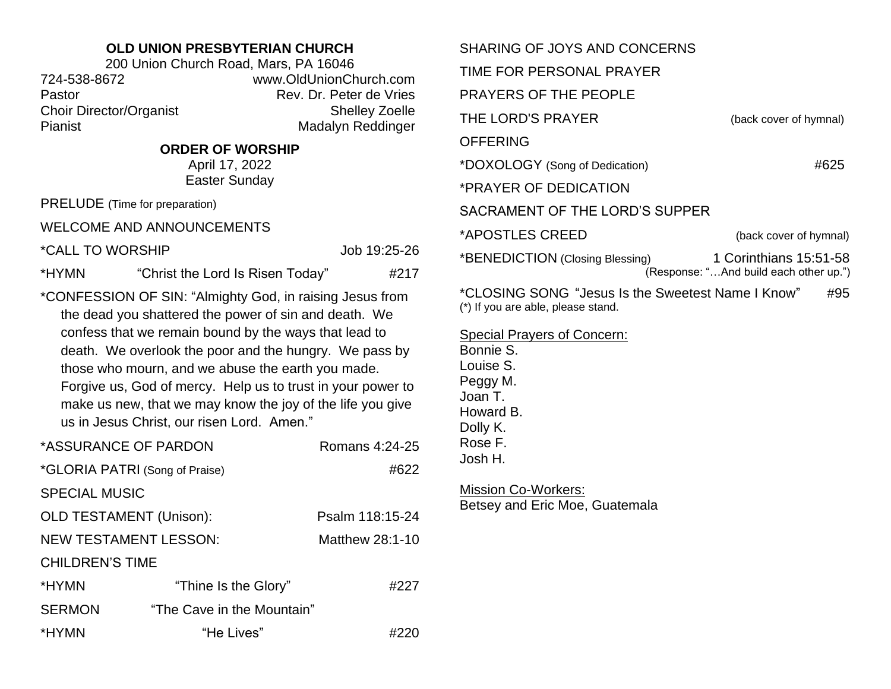## **OLD UNION PRESBYTERIAN CHURCH**

200 Union Church Road, Mars, PA 16046 724-538-8672 www.OldUnionChurch.com Pastor **Pastor** Rev. Dr. Peter de Vries Choir Director/Organist Shelley Zoelle Pianist Madalyn Reddinger

## **ORDER OF WORSHIP**

April 17, 2022 Easter Sunday

PRELUDE (Time for preparation)

WELCOME AND ANNOUNCEMENTS

\*CALL TO WORSHIP Job 19:25-26

\*HYMN "Christ the Lord Is Risen Today" #217

\*CONFESSION OF SIN: "Almighty God, in raising Jesus from the dead you shattered the power of sin and death. We confess that we remain bound by the ways that lead to death. We overlook the poor and the hungry. We pass by those who mourn, and we abuse the earth you made. Forgive us, God of mercy. Help us to trust in your power to make us new, that we may know the joy of the life you give us in Jesus Christ, our risen Lord. Amen."

| *ASSURANCE OF PARDON           |                            | Romans 4:24-25  |  |
|--------------------------------|----------------------------|-----------------|--|
| *GLORIA PATRI (Song of Praise) |                            | #622            |  |
| <b>SPECIAL MUSIC</b>           |                            |                 |  |
| <b>OLD TESTAMENT (Unison):</b> |                            | Psalm 118:15-24 |  |
| <b>NEW TESTAMENT LESSON:</b>   |                            | Matthew 28:1-10 |  |
| <b>CHILDREN'S TIME</b>         |                            |                 |  |
| *HYMN                          | "Thine Is the Glory"       | #227            |  |
| <b>SERMON</b>                  | "The Cave in the Mountain" |                 |  |
| *HYMN                          | "He Lives"                 |                 |  |

| SHARING OF JOYS AND CONCERNS                                                            |                                                                  |
|-----------------------------------------------------------------------------------------|------------------------------------------------------------------|
| TIME FOR PERSONAL PRAYER                                                                |                                                                  |
| <b>PRAYERS OF THE PEOPLE</b>                                                            |                                                                  |
| THE LORD'S PRAYER                                                                       | (back cover of hymnal)                                           |
| OFFERING                                                                                |                                                                  |
| *DOXOLOGY (Song of Dedication)                                                          | #625                                                             |
| *PRAYER OF DEDICATION                                                                   |                                                                  |
| SACRAMENT OF THE LORD'S SUPPER                                                          |                                                                  |
| *APOSTLES CREED                                                                         | (back cover of hymnal)                                           |
| *BENEDICTION (Closing Blessing)                                                         | 1 Corinthians 15:51-58<br>(Response: "And build each other up.") |
| *CLOSING SONG "Jesus Is the Sweetest Name I Know"<br>(*) If you are able, please stand. | #95                                                              |
| Special Prayers of Concern:                                                             |                                                                  |

Bonnie S. Louise S. Peggy M. Joan T. Howard B. Dolly K. Rose F. Josh H.

Mission Co-Workers: Betsey and Eric Moe, Guatemala